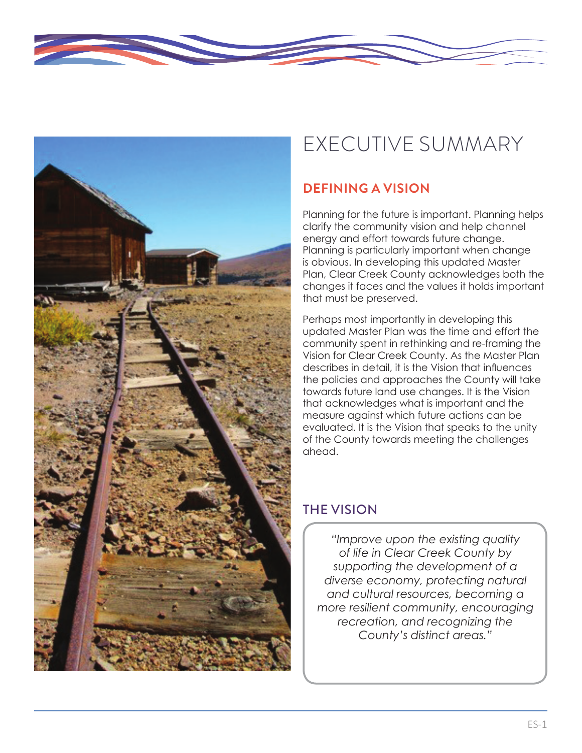

# EXECUTIVE SUMMARY

## **DEFINING A VISION**

Planning for the future is important. Planning helps clarify the community vision and help channel energy and effort towards future change. Planning is particularly important when change is obvious. In developing this updated Master Plan, Clear Creek County acknowledges both the changes it faces and the values it holds important that must be preserved.

Perhaps most importantly in developing this updated Master Plan was the time and effort the community spent in rethinking and re-framing the Vision for Clear Creek County. As the Master Plan describes in detail, it is the Vision that influences the policies and approaches the County will take towards future land use changes. It is the Vision that acknowledges what is important and the measure against which future actions can be evaluated. It is the Vision that speaks to the unity of the County towards meeting the challenges ahead.

## THE VISION

*"Improve upon the existing quality of life in Clear Creek County by supporting the development of a diverse economy, protecting natural and cultural resources, becoming a more resilient community, encouraging recreation, and recognizing the County's distinct areas."*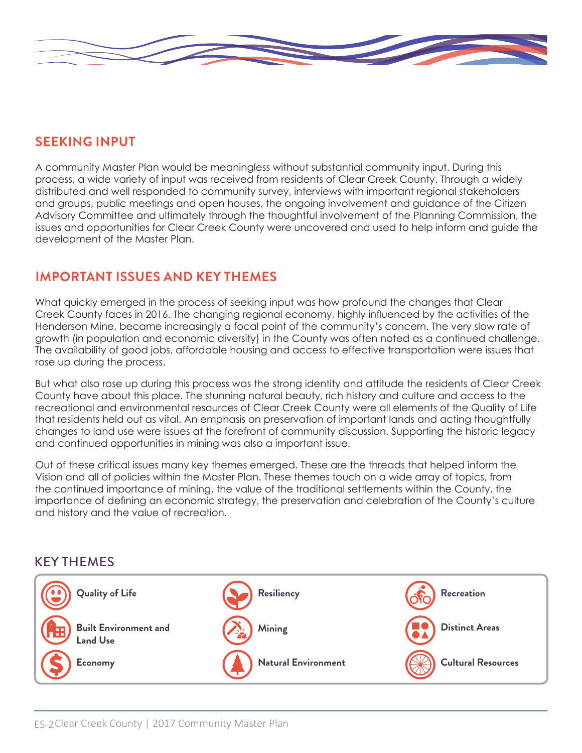

#### **SEEKING INPUT**

A community Master Plan would be meaningless without substantial community input. During this process, a wide variety of input was received from residents of Clear Creek County. Through a widely distributed and well responded to community survey, interviews with important regional stakeholders and groups, public meetings and open houses, the ongoing involvement and guidance of the Citizen Advisory Committee and ultimately through the thoughtful involvement of the Planning Commission, the issues and opportunities for Clear Creek County were uncovered and used to help inform and guide the development of the Master Plan.

### **IMPORTANT ISSUES AND KEY THEMES**

What quickly emerged in the process of seeking input was how profound the changes that Clear Creek County faces in 2016. The changing regional economy, highly influenced by the activities of the Henderson Mine, became increasingly a focal point of the community's concern. The very slow rate of growth (in population and economic diversity) in the County was often noted as a continued challenge. The availability of good jobs, affordable housing and access to effective transportation were issues that rose up during the process.

But what also rose up during this process was the strong identity and attitude the residents of Clear Creek County have about this place. The stunning natural beauty, rich history and culture and access to the recreational and environmental resources of Clear Creek County were all elements of the Quality of Life that residents held out as vital. An emphasis on preservation of important lands and acting thoughtfully changes to land use were issues at the forefront of community discussion. Supporting the historic legacy and continued opportunities in mining was also a important issue.

Out of these critical issues many key themes emerged. These are the threads that helped inform the Vision and all of policies within the Master Plan. These themes touch on a wide array of topics, from the continued importance of mining, the value of the traditional settlements within the County, the importance of defining an economic strategy, the preservation and celebration of the County's culture and history and the value of recreation.

#### KEY THEMES

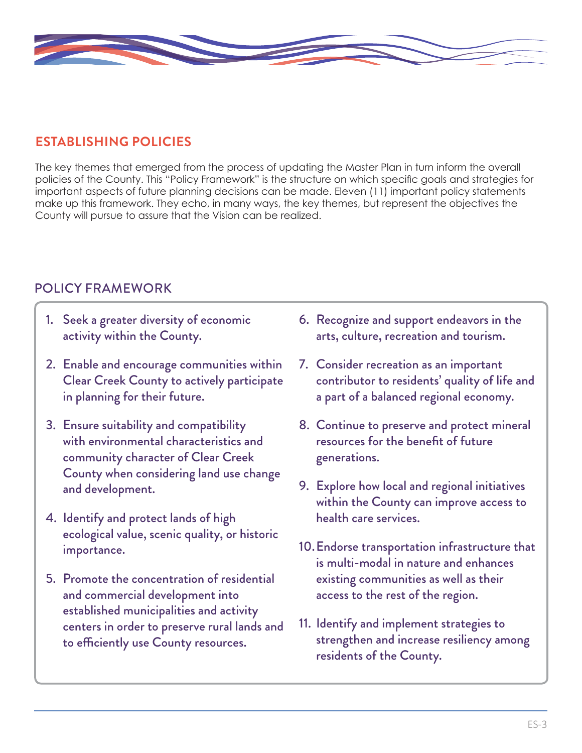

## **ESTABLISHING POLICIES**

The key themes that emerged from the process of updating the Master Plan in turn inform the overall policies of the County. This "Policy Framework" is the structure on which specific goals and strategies for important aspects of future planning decisions can be made. Eleven (11) important policy statements make up this framework. They echo, in many ways, the key themes, but represent the objectives the County will pursue to assure that the Vision can be realized.

### POLICY FRAMEWORK

- 1. Seek a greater diversity of economic activity within the County.
- 2. Enable and encourage communities within Clear Creek County to actively participate in planning for their future.
- 3. Ensure suitability and compatibility with environmental characteristics and community character of Clear Creek County when considering land use change and development.
- 4. Identify and protect lands of high ecological value, scenic quality, or historic importance.
- 5. Promote the concentration of residential and commercial development into established municipalities and activity centers in order to preserve rural lands and to efficiently use County resources.
- 6. Recognize and support endeavors in the arts, culture, recreation and tourism.
- 7. Consider recreation as an important contributor to residents' quality of life and a part of a balanced regional economy.
- 8. Continue to preserve and protect mineral resources for the benefit of future generations.
- 9. Explore how local and regional initiatives within the County can improve access to health care services.
- 10.Endorse transportation infrastructure that is multi-modal in nature and enhances existing communities as well as their access to the rest of the region.
- 11. Identify and implement strategies to strengthen and increase resiliency among residents of the County.